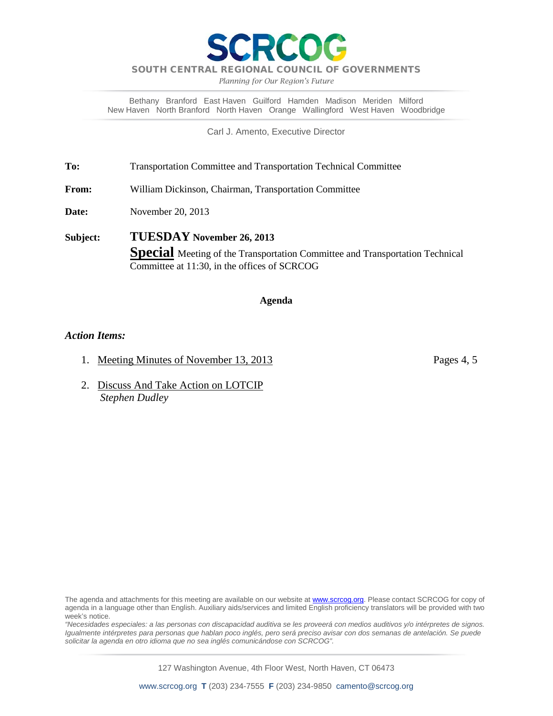*Planning for Our Region's Future*

Bethany Branford East Haven Guilford Hamden Madison Meriden Milford New Haven North Branford North Haven Orange Wallingford West Haven Woodbridge

Carl J. Amento, Executive Director

**To:** Transportation Committee and Transportation Technical Committee

**From:** William Dickinson, Chairman, Transportation Committee

**Date:** November 20, 2013

**Subject: TUESDAY November 26, 2013 Special** Meeting of the Transportation Committee and Transportation Technical Committee at 11:30, in the offices of SCRCOG

### **Agenda**

### *Action Items:*

- 1. Meeting Minutes of November 13, 2013 Pages 4, 5
- 2. Discuss And Take Action on LOTCIP  *Stephen Dudley*

The agenda and attachments for this meeting are available on our website at **www.scrcog.org**. Please contact SCRCOG for copy of agenda in a language other than English. Auxiliary aids/services and limited English proficiency translators will be provided with two week's notice.

*"Necesidades especiales: a las personas con discapacidad auditiva se les proveerá con medios auditivos y/o intérpretes de signos. Igualmente intérpretes para personas que hablan poco inglés, pero será preciso avisar con dos semanas de antelación. Se puede solicitar la agenda en otro idioma que no sea inglés comunicándose con SCRCOG".*

127 Washington Avenue, 4th Floor West, North Haven, CT 06473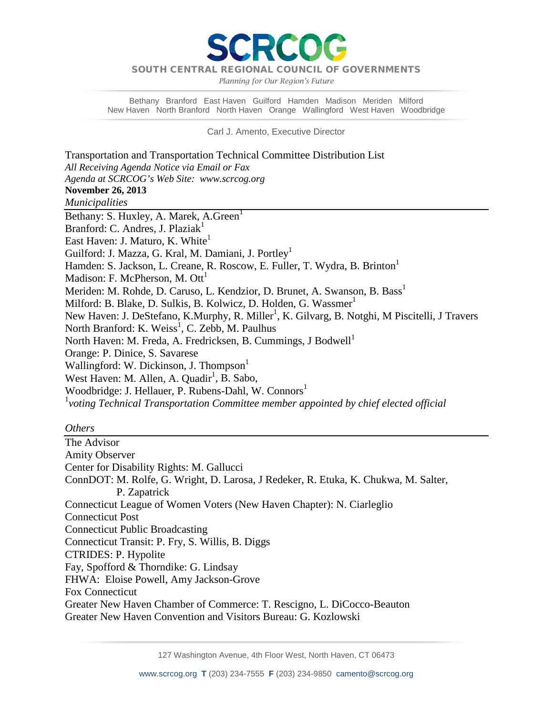PCC

*Planning for Our Region's Future*

Bethany Branford East Haven Guilford Hamden Madison Meriden Milford New Haven North Branford North Haven Orange Wallingford West Haven Woodbridge

Carl J. Amento, Executive Director

Transportation and Transportation Technical Committee Distribution List *All Receiving Agenda Notice via Email or Fax Agenda at SCRCOG's Web Site: www.scrcog.org*  **November 26, 2013**  *Municipalities*  Bethany: S. Huxley, A. Marek, A. Green<sup>1</sup> Branford: C. Andres, J. Plazia $k<sup>1</sup>$ East Haven: J. Maturo, K. White<sup>1</sup> Guilford: J. Mazza, G. Kral, M. Damiani, J. Portley<sup>1</sup> Hamden: S. Jackson, L. Creane, R. Roscow, E. Fuller, T. Wydra, B. Brinton<sup>1</sup> Madison: F. McPherson, M.  $\text{Out}^1$ Meriden: M. Rohde, D. Caruso, L. Kendzior, D. Brunet, A. Swanson, B. Bass<sup>1</sup> Milford: B. Blake, D. Sulkis, B. Kolwicz, D. Holden, G. Wassmer<sup>1</sup> New Haven: J. DeStefano, K.Murphy, R. Miller<sup>1</sup>, K. Gilvarg, B. Notghi, M Piscitelli, J Travers North Branford: K. Weiss<sup>1</sup>, C. Zebb, M. Paulhus North Haven: M. Freda, A. Fredricksen, B. Cummings, J Bodwell<sup>1</sup> Orange: P. Dinice, S. Savarese Wallingford: W. Dickinson, J. Thompson<sup>1</sup> West Haven: M. Allen, A. Quadir<sup>1</sup>, B. Sabo, Woodbridge: J. Hellauer, P. Rubens-Dahl, W. Connors<sup>1</sup> 1 *voting Technical Transportation Committee member appointed by chief elected official*

### *Others*

The Advisor Amity Observer Center for Disability Rights: M. Gallucci ConnDOT: M. Rolfe, G. Wright, D. Larosa, J Redeker, R. Etuka, K. Chukwa, M. Salter, P. Zapatrick Connecticut League of Women Voters (New Haven Chapter): N. Ciarleglio Connecticut Post Connecticut Public Broadcasting Connecticut Transit: P. Fry, S. Willis, B. Diggs CTRIDES: P. Hypolite Fay, Spofford & Thorndike: G. Lindsay FHWA: Eloise Powell, Amy Jackson-Grove Fox Connecticut Greater New Haven Chamber of Commerce: T. Rescigno, L. DiCocco-Beauton Greater New Haven Convention and Visitors Bureau: G. Kozlowski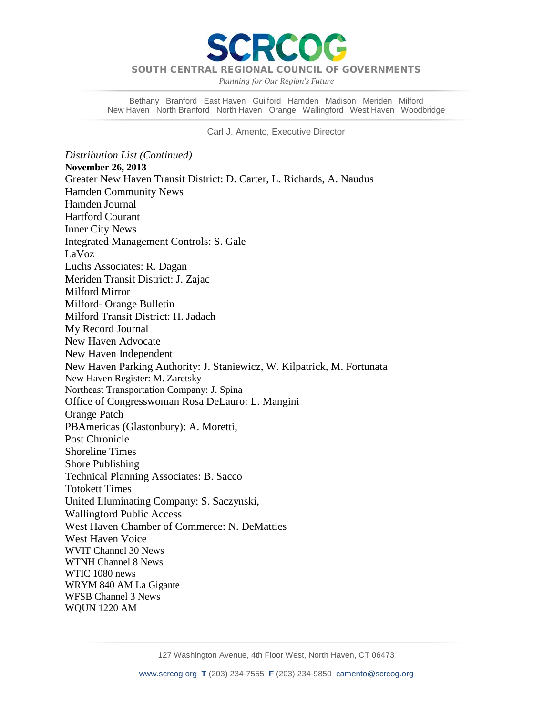

*Planning for Our Region's Future*

Bethany Branford East Haven Guilford Hamden Madison Meriden Milford New Haven North Branford North Haven Orange Wallingford West Haven Woodbridge

Carl J. Amento, Executive Director

*Distribution List (Continued)* **November 26, 2013**  Greater New Haven Transit District: D. Carter, L. Richards, A. Naudus Hamden Community News Hamden Journal Hartford Courant Inner City News Integrated Management Controls: S. Gale LaVoz Luchs Associates: R. Dagan Meriden Transit District: J. Zajac Milford Mirror Milford- Orange Bulletin Milford Transit District: H. Jadach My Record Journal New Haven Advocate New Haven Independent New Haven Parking Authority: J. Staniewicz, W. Kilpatrick, M. Fortunata New Haven Register: M. Zaretsky Northeast Transportation Company: J. Spina Office of Congresswoman Rosa DeLauro: L. Mangini Orange Patch PBAmericas (Glastonbury): A. Moretti, Post Chronicle Shoreline Times Shore Publishing Technical Planning Associates: B. Sacco Totokett Times United Illuminating Company: S. Saczynski, Wallingford Public Access West Haven Chamber of Commerce: N. DeMatties West Haven Voice WVIT Channel 30 News WTNH Channel 8 News WTIC 1080 news WRYM 840 AM La Gigante WFSB Channel 3 News WQUN 1220 AM

127 Washington Avenue, 4th Floor West, North Haven, CT 06473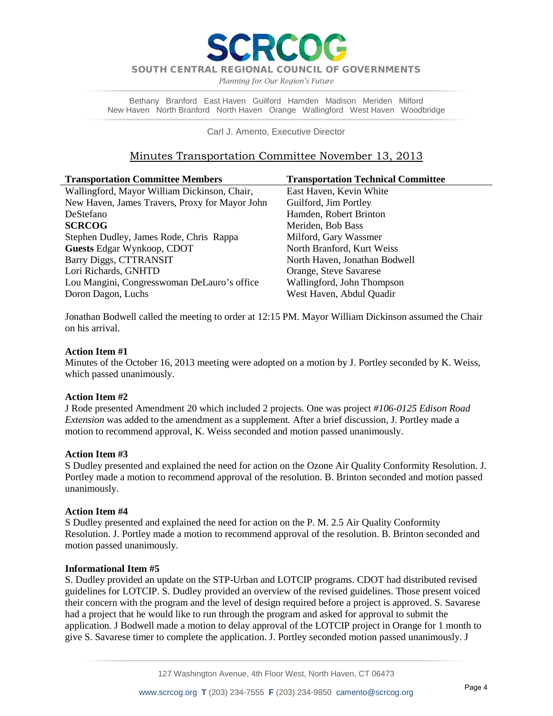

*Planning for Our Region's Future*

Bethany Branford East Haven Guilford Hamden Madison Meriden Milford New Haven North Branford North Haven Orange Wallingford West Haven Woodbridge

Carl J. Amento, Executive Director

# Minutes Transportation Committee November 13, 2013

| <b>Transportation Committee Members</b>        | <b>Transportation Technical Committee</b> |
|------------------------------------------------|-------------------------------------------|
| Wallingford, Mayor William Dickinson, Chair,   | East Haven, Kevin White                   |
| New Haven, James Travers, Proxy for Mayor John | Guilford, Jim Portley                     |
| DeStefano                                      | Hamden, Robert Brinton                    |
| <b>SCRCOG</b>                                  | Meriden, Bob Bass                         |
| Stephen Dudley, James Rode, Chris Rappa        | Milford, Gary Wassmer                     |
| <b>Guests Edgar Wynkoop, CDOT</b>              | North Branford, Kurt Weiss                |
| Barry Diggs, CTTRANSIT                         | North Haven, Jonathan Bodwell             |
| Lori Richards, GNHTD                           | Orange, Steve Savarese                    |
| Lou Mangini, Congresswoman DeLauro's office    | Wallingford, John Thompson                |
| Doron Dagon, Luchs                             | West Haven, Abdul Quadir                  |

Jonathan Bodwell called the meeting to order at 12:15 PM. Mayor William Dickinson assumed the Chair on his arrival.

## **Action Item #1**

Minutes of the October 16, 2013 meeting were adopted on a motion by J. Portley seconded by K. Weiss, which passed unanimously.

### **Action Item #2**

J Rode presented Amendment 20 which included 2 projects. One was project *#106-0125 Edison Road Extension* was added to the amendment as a supplement*.* After a brief discussion, J. Portley made a motion to recommend approval, K. Weiss seconded and motion passed unanimously.

### **Action Item #3**

S Dudley presented and explained the need for action on the Ozone Air Quality Conformity Resolution. J. Portley made a motion to recommend approval of the resolution. B. Brinton seconded and motion passed unanimously.

### **Action Item #4**

S Dudley presented and explained the need for action on the P. M. 2.5 Air Quality Conformity Resolution. J. Portley made a motion to recommend approval of the resolution. B. Brinton seconded and motion passed unanimously.

### **Informational Item #5**

S. Dudley provided an update on the STP-Urban and LOTCIP programs. CDOT had distributed revised guidelines for LOTCIP. S. Dudley provided an overview of the revised guidelines. Those present voiced their concern with the program and the level of design required before a project is approved. S. Savarese had a project that he would like to run through the program and asked for approval to submit the application. J Bodwell made a motion to delay approval of the LOTCIP project in Orange for 1 month to give S. Savarese timer to complete the application. J. Portley seconded motion passed unanimously. J

127 Washington Avenue, 4th Floor West, North Haven, CT 06473